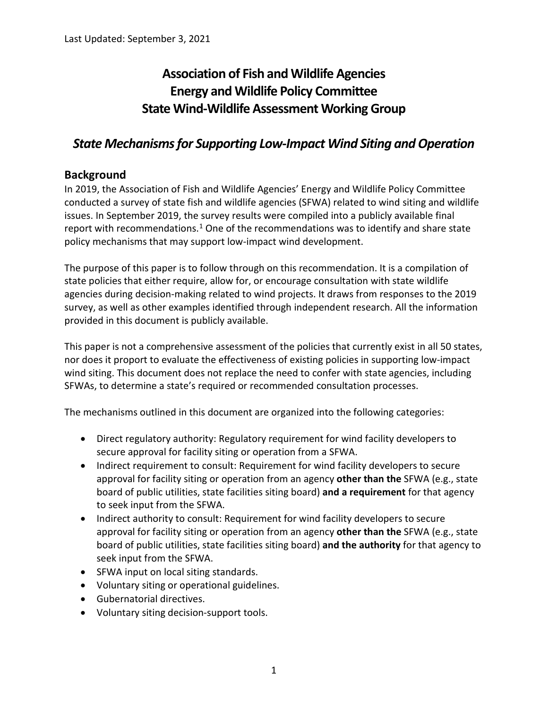# **Association of Fish and Wildlife Agencies Energy and Wildlife Policy Committee State Wind-Wildlife Assessment Working Group**

# *State Mechanisms for Supporting Low-Impact Wind Siting and Operation*

# <span id="page-0-0"></span>**Background**

In 2019, the Association of Fish and Wildlife Agencies' Energy and Wildlife Policy Committee conducted a survey of state fish and wildlife agencies (SFWA) related to wind siting and wildlife issues. In September 2019, the survey results were compiled into a publicly available final report with recommendations.<sup>[1](#page-14-0)</sup> One of the recommendations was to identify and share state policy mechanisms that may support low-impact wind development.

The purpose of this paper is to follow through on this recommendation. It is a compilation of state policies that either require, allow for, or encourage consultation with state wildlife agencies during decision-making related to wind projects. It draws from responses to the 2019 survey, as well as other examples identified through independent research. All the information provided in this document is publicly available.

This paper is not a comprehensive assessment of the policies that currently exist in all 50 states, nor does it proport to evaluate the effectiveness of existing policies in supporting low-impact wind siting. This document does not replace the need to confer with state agencies, including SFWAs, to determine a state's required or recommended consultation processes.

The mechanisms outlined in this document are organized into the following categories:

- Direct regulatory authority: Regulatory requirement for wind facility developers to secure approval for facility siting or operation from a SFWA.
- Indirect requirement to consult: Requirement for wind facility developers to secure approval for facility siting or operation from an agency **other than the** SFWA (e.g., state board of public utilities, state facilities siting board) **and a requirement** for that agency to seek input from the SFWA.
- Indirect authority to consult: Requirement for wind facility developers to secure approval for facility siting or operation from an agency **other than the** SFWA (e.g., state board of public utilities, state facilities siting board) **and the authority** for that agency to seek input from the SFWA.
- SFWA input on local siting standards.
- Voluntary siting or operational guidelines.
- Gubernatorial directives.
- Voluntary siting decision-support tools.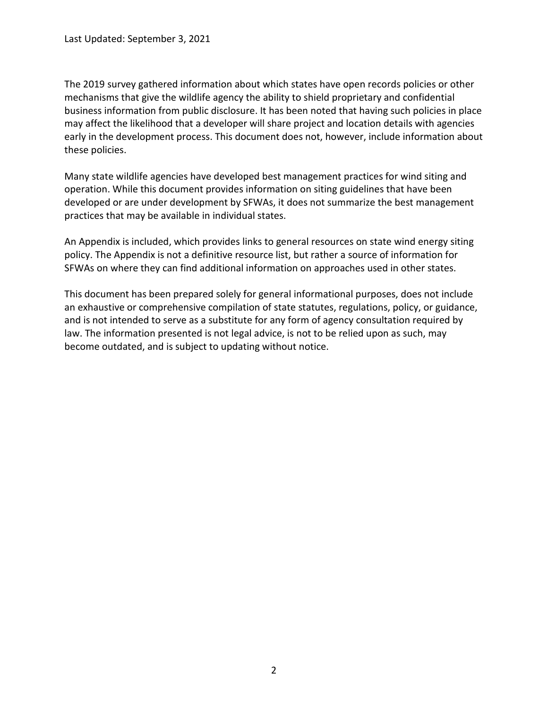The 2019 survey gathered information about which states have open records policies or other mechanisms that give the wildlife agency the ability to shield proprietary and confidential business information from public disclosure. It has been noted that having such policies in place may affect the likelihood that a developer will share project and location details with agencies early in the development process. This document does not, however, include information about these policies.

Many state wildlife agencies have developed best management practices for wind siting and operation. While this document provides information on siting guidelines that have been developed or are under development by SFWAs, it does not summarize the best management practices that may be available in individual states.

An Appendix is included, which provides links to general resources on state wind energy siting policy. The Appendix is not a definitive resource list, but rather a source of information for SFWAs on where they can find additional information on approaches used in other states.

This document has been prepared solely for general informational purposes, does not include an exhaustive or comprehensive compilation of state statutes, regulations, policy, or guidance, and is not intended to serve as a substitute for any form of agency consultation required by law. The information presented is not legal advice, is not to be relied upon as such, may become outdated, and is subject to updating without notice.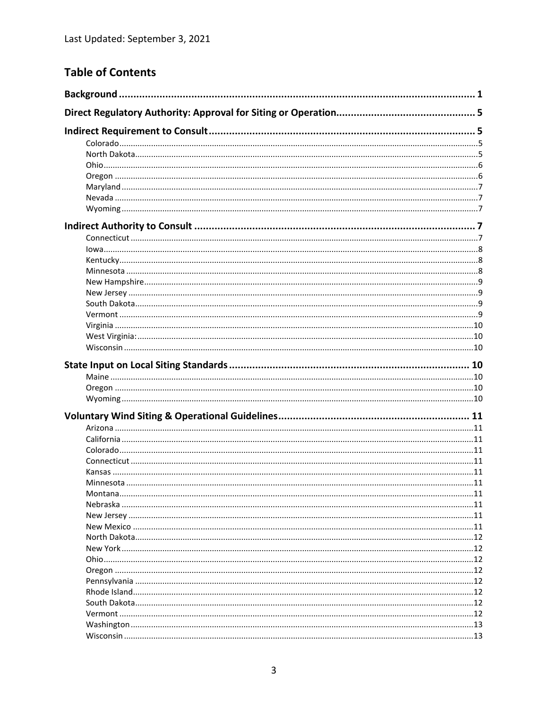# **Table of Contents**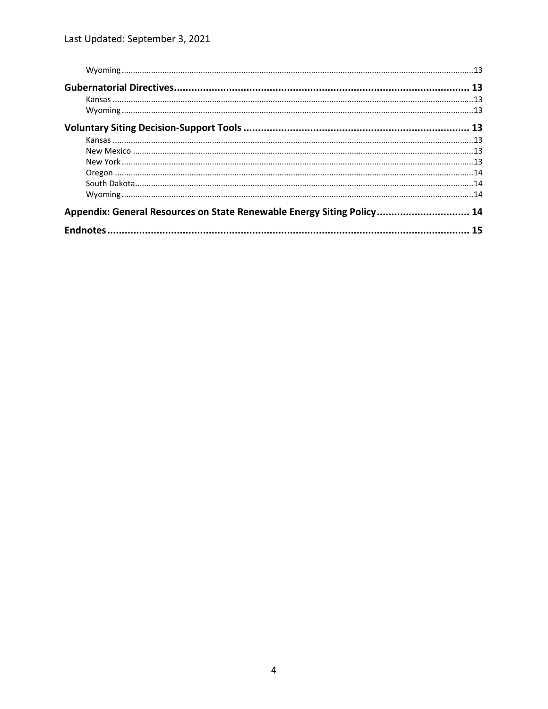| Appendix: General Resources on State Renewable Energy Siting Policy 14 |  |  |  |
|------------------------------------------------------------------------|--|--|--|
|                                                                        |  |  |  |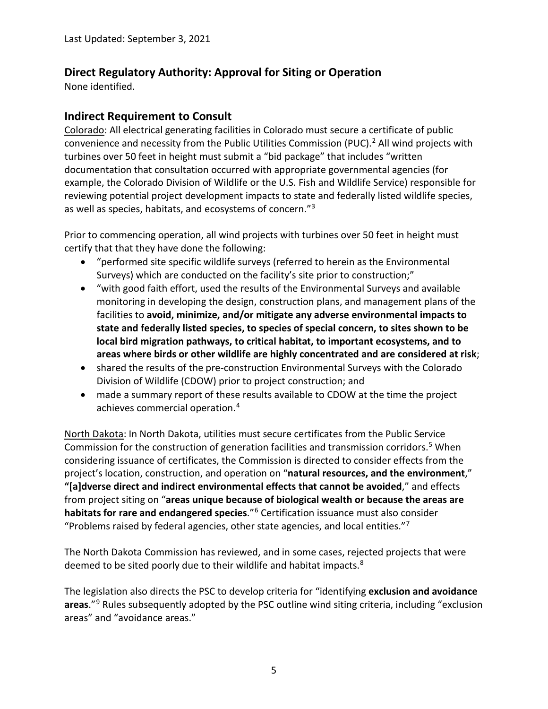# <span id="page-4-0"></span>**Direct Regulatory Authority: Approval for Siting or Operation**

None identified.

# <span id="page-4-1"></span>**Indirect Requirement to Consult**

<span id="page-4-2"></span>Colorado: All electrical generating facilities in Colorado must secure a certificate of public convenience and necessity from the Public Utilities Commission (PUC).<sup>[2](#page-14-2)</sup> All wind projects with turbines over 50 feet in height must submit a "bid package" that includes "written documentation that consultation occurred with appropriate governmental agencies (for example, the Colorado Division of Wildlife or the U.S. Fish and Wildlife Service) responsible for reviewing potential project development impacts to state and federally listed wildlife species, as well as species, habitats, and ecosystems of concern."[3](#page-14-3)

Prior to commencing operation, all wind projects with turbines over 50 feet in height must certify that that they have done the following:

- "performed site specific wildlife surveys (referred to herein as the Environmental Surveys) which are conducted on the facility's site prior to construction;"
- "with good faith effort, used the results of the Environmental Surveys and available monitoring in developing the design, construction plans, and management plans of the facilities to **avoid, minimize, and/or mitigate any adverse environmental impacts to state and federally listed species, to species of special concern, to sites shown to be local bird migration pathways, to critical habitat, to important ecosystems, and to areas where birds or other wildlife are highly concentrated and are considered at risk**;
- shared the results of the pre-construction Environmental Surveys with the Colorado Division of Wildlife (CDOW) prior to project construction; and
- made a summary report of these results available to CDOW at the time the project achieves commercial operation.[4](#page-14-4)

<span id="page-4-3"></span>North Dakota: In North Dakota, utilities must secure certificates from the Public Service Commission for the construction of generation facilities and transmission corridors.[5](#page-14-5) When considering issuance of certificates, the Commission is directed to consider effects from the project's location, construction, and operation on "**natural resources, and the environment**," **"[a]dverse direct and indirect environmental effects that cannot be avoided**," and effects from project siting on "**areas unique because of biological wealth or because the areas are habitats for rare and endangered species**."[6](#page-14-6) Certification issuance must also consider "Problems raised by federal agencies, other state agencies, and local entities." $7$ 

The North Dakota Commission has reviewed, and in some cases, rejected projects that were deemed to be sited poorly due to their wildlife and habitat impacts.<sup>8</sup>

The legislation also directs the PSC to develop criteria for "identifying **exclusion and avoidance areas**."[9](#page-14-9) Rules subsequently adopted by the PSC outline wind siting criteria, including "exclusion areas" and "avoidance areas."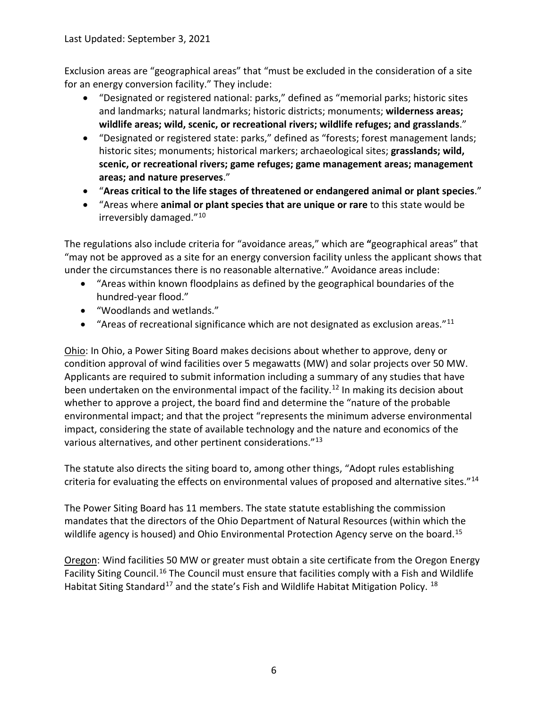Exclusion areas are "geographical areas" that "must be excluded in the consideration of a site for an energy conversion facility." They include:

- "Designated or registered national: parks," defined as "memorial parks; historic sites and landmarks; natural landmarks; historic districts; monuments; **wilderness areas; wildlife areas; wild, scenic, or recreational rivers; wildlife refuges; and grasslands**."
- "Designated or registered state: parks," defined as "forests; forest management lands; historic sites; monuments; historical markers; archaeological sites; **grasslands; wild, scenic, or recreational rivers; game refuges; game management areas; management areas; and nature preserves**."
- "**Areas critical to the life stages of threatened or endangered animal or plant species**."
- "Areas where **animal or plant species that are unique or rare** to this state would be irreversibly damaged."[10](#page-14-10)

The regulations also include criteria for "avoidance areas," which are **"**geographical areas" that "may not be approved as a site for an energy conversion facility unless the applicant shows that under the circumstances there is no reasonable alternative." Avoidance areas include:

- "Areas within known floodplains as defined by the geographical boundaries of the hundred-year flood."
- "Woodlands and wetlands."
- "Areas of recreational significance which are not designated as exclusion areas." $11$

<span id="page-5-0"></span>Ohio: In Ohio, a Power Siting Board makes decisions about whether to approve, deny or condition approval of wind facilities over 5 megawatts (MW) and solar projects over 50 MW. Applicants are required to submit information including a summary of any studies that have been undertaken on the environmental impact of the facility.<sup>[12](#page-14-12)</sup> In making its decision about whether to approve a project, the board find and determine the "nature of the probable environmental impact; and that the project "represents the minimum adverse environmental impact, considering the state of available technology and the nature and economics of the various alternatives, and other pertinent considerations."[13](#page-14-13)

The statute also directs the siting board to, among other things, "Adopt rules establishing criteria for evaluating the effects on environmental values of proposed and alternative sites."[14](#page-14-14)

The Power Siting Board has 11 members. The state statute establishing the commission mandates that the directors of the Ohio Department of Natural Resources (within which the wildlife agency is housed) and Ohio Environmental Protection Agency serve on the board.<sup>[15](#page-14-15)</sup>

<span id="page-5-1"></span>Oregon: Wind facilities 50 MW or greater must obtain a site certificate from the Oregon Energy Facility Siting Council.<sup>[16](#page-14-16)</sup> The Council must ensure that facilities comply with a Fish and Wildlife Habitat Siting Standard<sup>[17](#page-14-17)</sup> and the state's Fish and Wildlife Habitat Mitigation Policy.<sup>[18](#page-14-18)</sup>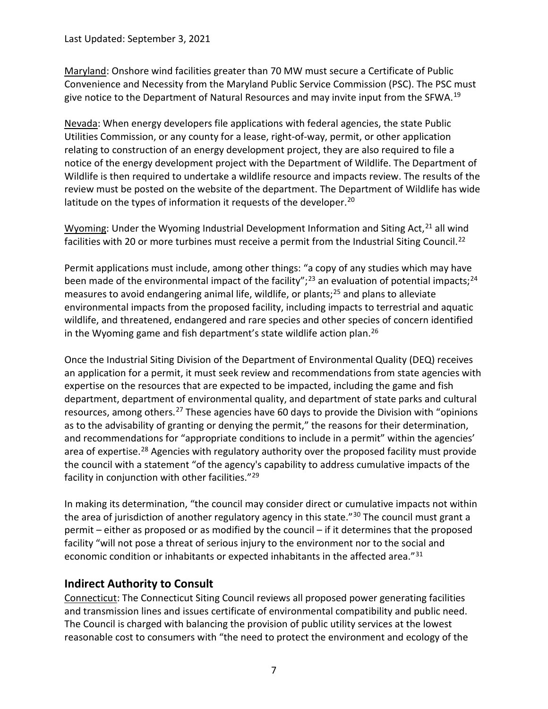Last Updated: September 3, 2021

<span id="page-6-0"></span>Maryland: Onshore wind facilities greater than 70 MW must secure a Certificate of Public Convenience and Necessity from the Maryland Public Service Commission (PSC). The PSC must give notice to the Department of Natural Resources and may invite input from the SFWA.<sup>[19](#page-14-19)</sup>

<span id="page-6-1"></span>Nevada: When energy developers file applications with federal agencies, the state Public Utilities Commission, or any county for a lease, right-of-way, permit, or other application relating to construction of an energy development project, they are also required to file a notice of the energy development project with the Department of Wildlife. The Department of Wildlife is then required to undertake a wildlife resource and impacts review. The results of the review must be posted on the website of the department. The Department of Wildlife has wide latitude on the types of information it requests of the developer.<sup>[20](#page-14-20)</sup>

<span id="page-6-2"></span>Wyoming: Under the Wyoming Industrial Development Information and Siting Act, $21$  all wind facilities with 20 or more turbines must receive a permit from the Industrial Siting Council.<sup>[22](#page-14-22)</sup>

Permit applications must include, among other things: "a copy of any studies which may have been made of the environmental impact of the facility";<sup>[23](#page-14-23)</sup> an evaluation of potential impacts;<sup>[24](#page-14-24)</sup> measures to avoid endangering animal life, wildlife, or plants;<sup>[25](#page-14-25)</sup> and plans to alleviate environmental impacts from the proposed facility, including impacts to terrestrial and aquatic wildlife, and threatened, endangered and rare species and other species of concern identified in the Wyoming game and fish department's state wildlife action plan.<sup>[26](#page-14-26)</sup>

Once the Industrial Siting Division of the Department of Environmental Quality (DEQ) receives an application for a permit, it must seek review and recommendations from state agencies with expertise on the resources that are expected to be impacted, including the game and fish department, department of environmental quality, and department of state parks and cultural resources, among others.<sup>[27](#page-14-27)</sup> These agencies have 60 days to provide the Division with "opinions" as to the advisability of granting or denying the permit," the reasons for their determination, and recommendations for "appropriate conditions to include in a permit" within the agencies' area of expertise.<sup>[28](#page-14-28)</sup> Agencies with regulatory authority over the proposed facility must provide the council with a statement "of the agency's capability to address cumulative impacts of the facility in conjunction with other facilities."<sup>[29](#page-14-29)</sup>

In making its determination, "the council may consider direct or cumulative impacts not within the area of jurisdiction of another regulatory agency in this state."<sup>[30](#page-14-30)</sup> The council must grant a permit – either as proposed or as modified by the council – if it determines that the proposed facility "will not pose a threat of serious injury to the environment nor to the social and economic condition or inhabitants or expected inhabitants in the affected area."<sup>[31](#page-15-0)</sup>

## <span id="page-6-3"></span>**Indirect Authority to Consult**

<span id="page-6-4"></span>Connecticut: The Connecticut Siting Council reviews all proposed power generating facilities and transmission lines and issues certificate of environmental compatibility and public need. The Council is charged with balancing the provision of public utility services at the lowest reasonable cost to consumers with "the need to protect the environment and ecology of the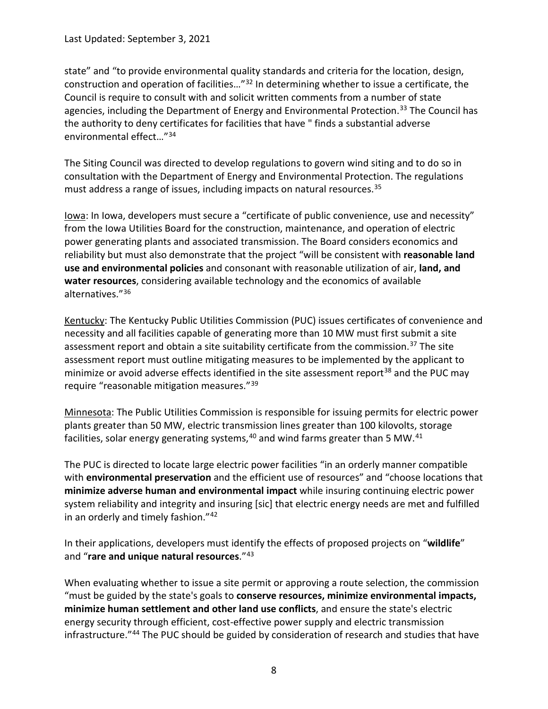state" and "to provide environmental quality standards and criteria for the location, design, construction and operation of facilities…"[32](#page-15-1) In determining whether to issue a certificate, the Council is require to consult with and solicit written comments from a number of state agencies, including the Department of Energy and Environmental Protection.<sup>[33](#page-15-2)</sup> The Council has the authority to deny certificates for facilities that have " finds a substantial adverse environmental effect…"[34](#page-15-3)

The Siting Council was directed to develop regulations to govern wind siting and to do so in consultation with the Department of Energy and Environmental Protection. The regulations must address a range of issues, including impacts on natural resources. [35](#page-15-4)

<span id="page-7-0"></span>Iowa: In Iowa, developers must secure a "certificate of public convenience, use and necessity" from the Iowa Utilities Board for the construction, maintenance, and operation of electric power generating plants and associated transmission. The Board considers economics and reliability but must also demonstrate that the project "will be consistent with **reasonable land use and environmental policies** and consonant with reasonable utilization of air, **land, and water resources**, considering available technology and the economics of available alternatives."[36](#page-15-5)

<span id="page-7-1"></span>Kentucky: The Kentucky Public Utilities Commission (PUC) issues certificates of convenience and necessity and all facilities capable of generating more than 10 MW must first submit a site assessment report and obtain a site suitability certificate from the commission.<sup>[37](#page-15-6)</sup> The site assessment report must outline mitigating measures to be implemented by the applicant to minimize or avoid adverse effects identified in the site assessment report<sup>38</sup> and the PUC may require "reasonable mitigation measures."[39](#page-15-8)

<span id="page-7-2"></span>Minnesota: The Public Utilities Commission is responsible for issuing permits for electric power plants greater than 50 MW, electric transmission lines greater than 100 kilovolts, storage facilities, solar energy generating systems,<sup>[40](#page-15-9)</sup> and wind farms greater than 5 MW.<sup>[41](#page-15-10)</sup>

The PUC is directed to locate large electric power facilities "in an orderly manner compatible with **environmental preservation** and the efficient use of resources" and "choose locations that **minimize adverse human and environmental impact** while insuring continuing electric power system reliability and integrity and insuring [sic] that electric energy needs are met and fulfilled in an orderly and timely fashion."[42](#page-15-11)

In their applications, developers must identify the effects of proposed projects on "**wildlife**" and "**rare and unique natural resources**."[43](#page-15-12)

When evaluating whether to issue a site permit or approving a route selection, the commission "must be guided by the state's goals to **conserve resources, minimize environmental impacts, minimize human settlement and other land use conflicts**, and ensure the state's electric energy security through efficient, cost-effective power supply and electric transmission infrastructure."[44](#page-15-13) The PUC should be guided by consideration of research and studies that have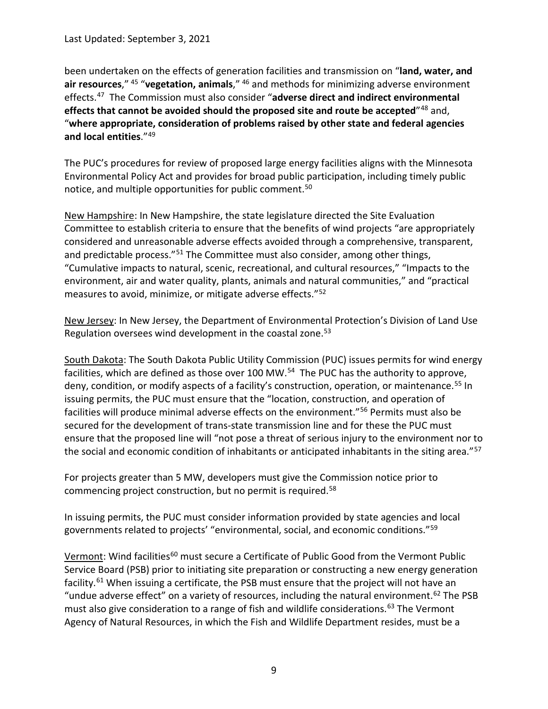been undertaken on the effects of generation facilities and transmission on "**land, water, and air resources**," [45](#page-15-14) "**vegetation, animals**," [46](#page-15-15) and methods for minimizing adverse environment effects.[47](#page-15-16) The Commission must also consider "**adverse direct and indirect environmental effects that cannot be avoided should the proposed site and route be accepted**"[48](#page-15-17) and, "**where appropriate, consideration of problems raised by other state and federal agencies and local entities**."[49](#page-15-18)

The PUC's procedures for review of proposed large energy facilities aligns with the Minnesota Environmental Policy Act and provides for broad public participation, including timely public notice, and multiple opportunities for public comment.<sup>[50](#page-15-19)</sup>

<span id="page-8-0"></span>New Hampshire: In New Hampshire, the state legislature directed the Site Evaluation Committee to establish criteria to ensure that the benefits of wind projects "are appropriately considered and unreasonable adverse effects avoided through a comprehensive, transparent, and predictable process."<sup>[51](#page-15-20)</sup> The Committee must also consider, among other things, "Cumulative impacts to natural, scenic, recreational, and cultural resources," "Impacts to the environment, air and water quality, plants, animals and natural communities," and "practical measures to avoid, minimize, or mitigate adverse effects.["52](#page-15-21)

<span id="page-8-1"></span>New Jersey: In New Jersey, the Department of Environmental Protection's Division of Land Use Regulation oversees wind development in the coastal zone.<sup>[53](#page-15-22)</sup>

<span id="page-8-2"></span>South Dakota: The South Dakota Public Utility Commission (PUC) issues permits for wind energy facilities, which are defined as those over 100 MW.<sup>[54](#page-15-23)</sup> The PUC has the authority to approve, deny, condition, or modify aspects of a facility's construction, operation, or maintenance.<sup>[55](#page-15-24)</sup> In issuing permits, the PUC must ensure that the "location, construction, and operation of facilities will produce minimal adverse effects on the environment."[56](#page-15-25) Permits must also be secured for the development of trans-state transmission line and for these the PUC must ensure that the proposed line will "not pose a threat of serious injury to the environment nor to the social and economic condition of inhabitants or anticipated inhabitants in the siting area."<sup>[57](#page-15-26)</sup>

For projects greater than 5 MW, developers must give the Commission notice prior to commencing project construction, but no permit is required.[58](#page-15-27)

In issuing permits, the PUC must consider information provided by state agencies and local governments related to projects' "environmental, social, and economic conditions."[59](#page-15-28)

<span id="page-8-3"></span>Vermont: Wind facilities<sup>[60](#page-15-29)</sup> must secure a Certificate of Public Good from the Vermont Public Service Board (PSB) prior to initiating site preparation or constructing a new energy generation facility.<sup>[61](#page-15-30)</sup> When issuing a certificate, the PSB must ensure that the project will not have an "undue adverse effect" on a variety of resources, including the natural environment.<sup>[62](#page-15-31)</sup> The PSB must also give consideration to a range of fish and wildlife considerations.<sup>[63](#page-15-32)</sup> The Vermont Agency of Natural Resources, in which the Fish and Wildlife Department resides, must be a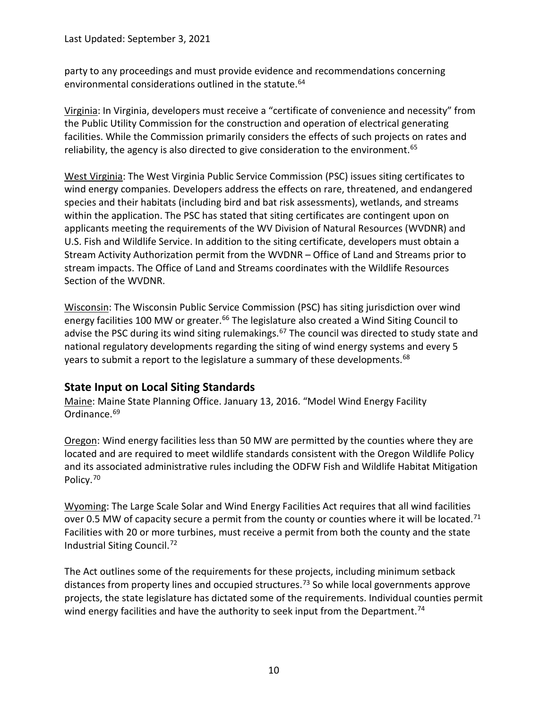party to any proceedings and must provide evidence and recommendations concerning environmental considerations outlined in the statute. [64](#page-15-33)

<span id="page-9-0"></span>Virginia: In Virginia, developers must receive a "certificate of convenience and necessity" from the Public Utility Commission for the construction and operation of electrical generating facilities. While the Commission primarily considers the effects of such projects on rates and reliability, the agency is also directed to give consideration to the environment.<sup>[65](#page-15-34)</sup>

<span id="page-9-1"></span>West Virginia: The West Virginia Public Service Commission (PSC) issues siting certificates to wind energy companies. Developers address the effects on rare, threatened, and endangered species and their habitats (including bird and bat risk assessments), wetlands, and streams within the application. The PSC has stated that siting certificates are contingent upon on applicants meeting the requirements of the WV Division of Natural Resources (WVDNR) and U.S. Fish and Wildlife Service. In addition to the siting certificate, developers must obtain a Stream Activity Authorization permit from the WVDNR – Office of Land and Streams prior to stream impacts. The Office of Land and Streams coordinates with the Wildlife Resources Section of the WVDNR.

<span id="page-9-2"></span>Wisconsin: The Wisconsin Public Service Commission (PSC) has siting jurisdiction over wind energy facilities 100 MW or greater.<sup>[66](#page-15-35)</sup> The legislature also created a Wind Siting Council to advise the PSC during its wind siting rulemakings.<sup>[67](#page-15-36)</sup> The council was directed to study state and national regulatory developments regarding the siting of wind energy systems and every 5 years to submit a report to the legislature a summary of these developments.<sup>[68](#page-15-37)</sup>

# <span id="page-9-3"></span>**State Input on Local Siting Standards**

<span id="page-9-4"></span>Maine: Maine State Planning Office. January 13, 2016. "Model Wind Energy Facility Ordinance.<sup>[69](#page-15-38)</sup>

<span id="page-9-5"></span>Oregon: Wind energy facilities less than 50 MW are permitted by the counties where they are located and are required to meet wildlife standards consistent with the Oregon Wildlife Policy and its associated administrative rules including the ODFW Fish and Wildlife Habitat Mitigation Policy.[70](#page-15-39)

<span id="page-9-6"></span>Wyoming: The Large Scale Solar and Wind Energy Facilities Act requires that all wind facilities over 0.5 MW of capacity secure a permit from the county or counties where it will be located.<sup>[71](#page-15-40)</sup> Facilities with 20 or more turbines, must receive a permit from both the county and the state Industrial Siting Council.[72](#page-15-41)

The Act outlines some of the requirements for these projects, including minimum setback distances from property lines and occupied structures.<sup>[73](#page-15-42)</sup> So while local governments approve projects, the state legislature has dictated some of the requirements. Individual counties permit wind energy facilities and have the authority to seek input from the Department.<sup>[74](#page-15-43)</sup>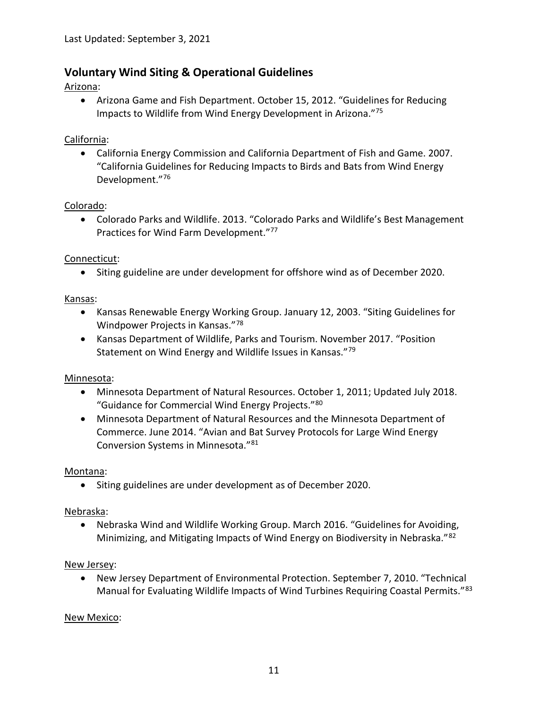# <span id="page-10-0"></span>**Voluntary Wind Siting & Operational Guidelines**

#### <span id="page-10-1"></span>Arizona:

• Arizona Game and Fish Department. October 15, 2012. "Guidelines for Reducing Impacts to Wildlife from Wind Energy Development in Arizona."[75](#page-15-44)

#### <span id="page-10-2"></span>California:

• California Energy Commission and California Department of Fish and Game. 2007. "California Guidelines for Reducing Impacts to Birds and Bats from Wind Energy Development."[76](#page-16-0)

#### <span id="page-10-3"></span>Colorado:

• Colorado Parks and Wildlife. 2013. "Colorado Parks and Wildlife's Best Management Practices for Wind Farm Development."<sup>77</sup>

#### <span id="page-10-4"></span>Connecticut:

• Siting guideline are under development for offshore wind as of December 2020.

#### <span id="page-10-5"></span>Kansas:

- Kansas Renewable Energy Working Group. January 12, 2003. "Siting Guidelines for Windpower Projects in Kansas."[78](#page-16-2)
- Kansas Department of Wildlife, Parks and Tourism. November 2017. "Position Statement on Wind Energy and Wildlife Issues in Kansas."[79](#page-16-3)

#### <span id="page-10-6"></span>Minnesota:

- Minnesota Department of Natural Resources. October 1, 2011; Updated July 2018. "Guidance for Commercial Wind Energy Projects."[80](#page-16-4)
- Minnesota Department of Natural Resources and the Minnesota Department of Commerce. June 2014. "Avian and Bat Survey Protocols for Large Wind Energy Conversion Systems in Minnesota."[81](#page-16-5)

#### <span id="page-10-7"></span>Montana:

• Siting guidelines are under development as of December 2020.

#### <span id="page-10-8"></span>Nebraska:

• Nebraska Wind and Wildlife Working Group. March 2016. "Guidelines for Avoiding, Minimizing, and Mitigating Impacts of Wind Energy on Biodiversity in Nebraska."[82](#page-16-6)

#### <span id="page-10-9"></span>New Jersey:

• New Jersey Department of Environmental Protection. September 7, 2010. "Technical Manual for Evaluating Wildlife Impacts of Wind Turbines Requiring Coastal Permits."[83](#page-16-7)

## <span id="page-10-10"></span>New Mexico: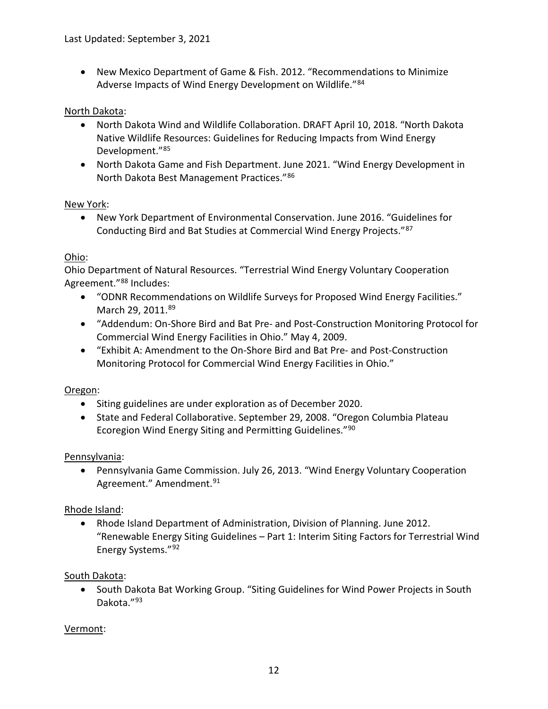• New Mexico Department of Game & Fish. 2012. "Recommendations to Minimize Adverse Impacts of Wind Energy Development on Wildlife."[84](#page-16-8)

#### <span id="page-11-0"></span>North Dakota:

- North Dakota Wind and Wildlife Collaboration. DRAFT April 10, 2018. "North Dakota Native Wildlife Resources: Guidelines for Reducing Impacts from Wind Energy Development."[85](#page-16-9)
- North Dakota Game and Fish Department. June 2021. "Wind Energy Development in North Dakota Best Management Practices."[86](#page-16-10)

#### <span id="page-11-1"></span>New York:

• New York Department of Environmental Conservation. June 2016. "Guidelines for Conducting Bird and Bat Studies at Commercial Wind Energy Projects."[87](#page-16-11)

#### <span id="page-11-2"></span>Ohio:

Ohio Department of Natural Resources. "Terrestrial Wind Energy Voluntary Cooperation Agreement."[88](#page-16-12) Includes:

- "ODNR Recommendations on Wildlife Surveys for Proposed Wind Energy Facilities." March 29, 2011.[89](#page-16-13)
- "Addendum: On-Shore Bird and Bat Pre- and Post-Construction Monitoring Protocol for Commercial Wind Energy Facilities in Ohio." May 4, 2009.
- "Exhibit A: Amendment to the On-Shore Bird and Bat Pre- and Post-Construction Monitoring Protocol for Commercial Wind Energy Facilities in Ohio."

#### <span id="page-11-3"></span>Oregon:

- Siting guidelines are under exploration as of December 2020.
- State and Federal Collaborative. September 29, 2008. "Oregon Columbia Plateau Ecoregion Wind Energy Siting and Permitting Guidelines."[90](#page-16-14)

#### <span id="page-11-4"></span>Pennsylvania:

• Pennsylvania Game Commission. July 26, 2013. "Wind Energy Voluntary Cooperation Agreement." Amendment.<sup>[91](#page-16-15)</sup>

#### <span id="page-11-5"></span>Rhode Island:

• Rhode Island Department of Administration, Division of Planning. June 2012. "Renewable Energy Siting Guidelines – Part 1: Interim Siting Factors for Terrestrial Wind Energy Systems."[92](#page-16-16)

#### <span id="page-11-6"></span>South Dakota:

• South Dakota Bat Working Group. "Siting Guidelines for Wind Power Projects in South Dakota."[93](#page-16-17)

#### <span id="page-11-7"></span>Vermont: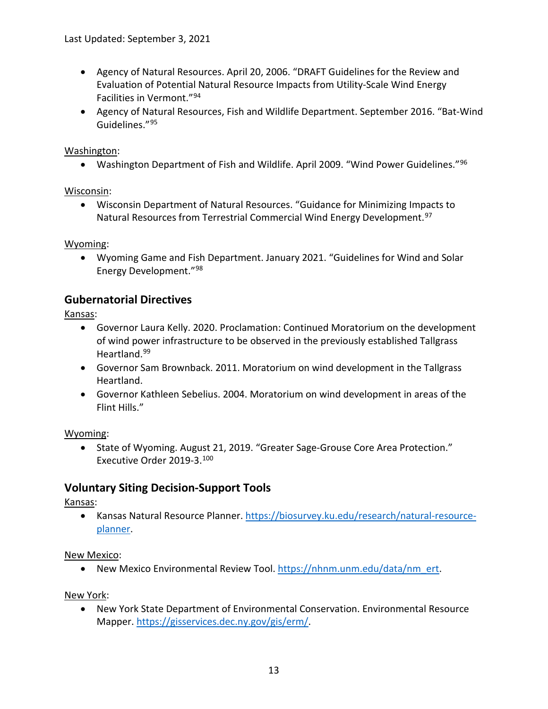- Agency of Natural Resources. April 20, 2006. "DRAFT Guidelines for the Review and Evaluation of Potential Natural Resource Impacts from Utility-Scale Wind Energy Facilities in Vermont."[94](#page-17-0)
- Agency of Natural Resources, Fish and Wildlife Department. September 2016. "Bat-Wind Guidelines."[95](#page-17-1)

#### <span id="page-12-0"></span>Washington:

• Washington Department of Fish and Wildlife. April 2009. "Wind Power Guidelines."<sup>[96](#page-17-2)</sup>

#### <span id="page-12-1"></span>Wisconsin:

• Wisconsin Department of Natural Resources. "Guidance for Minimizing Impacts to Natural Resources from Terrestrial Commercial Wind Energy Development.<sup>[97](#page-17-3)</sup>

#### <span id="page-12-2"></span>Wyoming:

• Wyoming Game and Fish Department. January 2021. "Guidelines for Wind and Solar Energy Development."[98](#page-17-4)

#### <span id="page-12-3"></span>**Gubernatorial Directives**

<span id="page-12-4"></span>Kansas:

- Governor Laura Kelly. 2020. Proclamation: Continued Moratorium on the development of wind power infrastructure to be observed in the previously established Tallgrass Heartland.[99](#page-17-5)
- Governor Sam Brownback. 2011. Moratorium on wind development in the Tallgrass Heartland.
- Governor Kathleen Sebelius. 2004. Moratorium on wind development in areas of the Flint Hills."

#### <span id="page-12-5"></span>Wyoming:

• State of Wyoming. August 21, 2019. "Greater Sage-Grouse Core Area Protection." Executive Order 2019-3.[100](#page-17-6)

## <span id="page-12-6"></span>**Voluntary Siting Decision-Support Tools**

#### <span id="page-12-7"></span>Kansas:

• Kansas Natural Resource Planner. [https://biosurvey.ku.edu/research/natural-resource](https://biosurvey.ku.edu/research/natural-resource-planner)[planner.](https://biosurvey.ku.edu/research/natural-resource-planner)

<span id="page-12-8"></span>New Mexico:

• New Mexico Environmental Review Tool. [https://nhnm.unm.edu/data/nm\\_ert.](https://nhnm.unm.edu/data/nm_ert)

<span id="page-12-9"></span>New York:

• New York State Department of Environmental Conservation. Environmental Resource Mapper. [https://gisservices.dec.ny.gov/gis/erm/.](https://gisservices.dec.ny.gov/gis/erm/)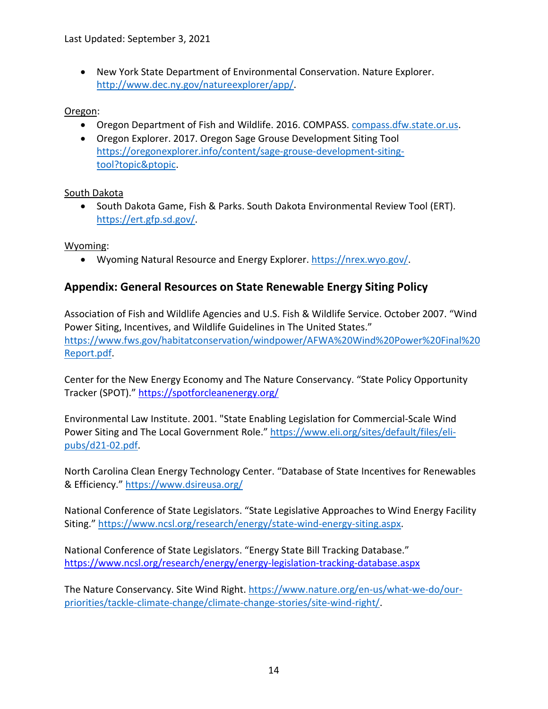• New York State Department of Environmental Conservation. Nature Explorer. [http://www.dec.ny.gov/natureexplorer/app/.](http://www.dec.ny.gov/natureexplorer/app/)

#### <span id="page-13-0"></span>Oregon:

- Oregon Department of Fish and Wildlife. 2016. COMPASS. compass.dfw.state.or.us.
- Oregon Explorer. 2017. Oregon Sage Grouse Development Siting Tool [https://oregonexplorer.info/content/sage-grouse-development-siting](https://oregonexplorer.info/content/sage-grouse-development-siting-tool?topic&ptopic)[tool?topic&ptopic.](https://oregonexplorer.info/content/sage-grouse-development-siting-tool?topic&ptopic)

#### <span id="page-13-1"></span>South Dakota

• South Dakota Game, Fish & Parks. South Dakota Environmental Review Tool (ERT). [https://ert.gfp.sd.gov/.](https://ert.gfp.sd.gov/)

## <span id="page-13-2"></span>Wyoming:

• Wyoming Natural Resource and Energy Explorer. [https://nrex.wyo.gov/.](https://nrex.wyo.gov/)

# <span id="page-13-3"></span>**Appendix: General Resources on State Renewable Energy Siting Policy**

Association of Fish and Wildlife Agencies and U.S. Fish & Wildlife Service. October 2007. "Wind Power Siting, Incentives, and Wildlife Guidelines in The United States." [https://www.fws.gov/habitatconservation/windpower/AFWA%20Wind%20Power%20Final%20](https://www.fws.gov/habitatconservation/windpower/AFWA%20Wind%20Power%20Final%20Report.pdf) [Report.pdf.](https://www.fws.gov/habitatconservation/windpower/AFWA%20Wind%20Power%20Final%20Report.pdf)

Center for the New Energy Economy and The Nature Conservancy. "State Policy Opportunity Tracker (SPOT).[" https://spotforcleanenergy.org/](https://spotforcleanenergy.org/)

Environmental Law Institute. 2001. "State Enabling Legislation for Commercial-Scale Wind Power Siting and The Local Government Role." [https://www.eli.org/sites/default/files/eli](https://www.eli.org/sites/default/files/eli-pubs/d21-02.pdf)[pubs/d21-02.pdf.](https://www.eli.org/sites/default/files/eli-pubs/d21-02.pdf)

North Carolina Clean Energy Technology Center. "Database of State Incentives for Renewables & Efficiency."<https://www.dsireusa.org/>

National Conference of State Legislators. "State Legislative Approaches to Wind Energy Facility Siting." [https://www.ncsl.org/research/energy/state-wind-energy-siting.aspx.](https://www.ncsl.org/research/energy/state-wind-energy-siting.aspx)

National Conference of State Legislators. "Energy State Bill Tracking Database." <https://www.ncsl.org/research/energy/energy-legislation-tracking-database.aspx>

The Nature Conservancy. Site Wind Right. [https://www.nature.org/en-us/what-we-do/our](https://www.nature.org/en-us/what-we-do/our-priorities/tackle-climate-change/climate-change-stories/site-wind-right/)[priorities/tackle-climate-change/climate-change-stories/site-wind-right/.](https://www.nature.org/en-us/what-we-do/our-priorities/tackle-climate-change/climate-change-stories/site-wind-right/)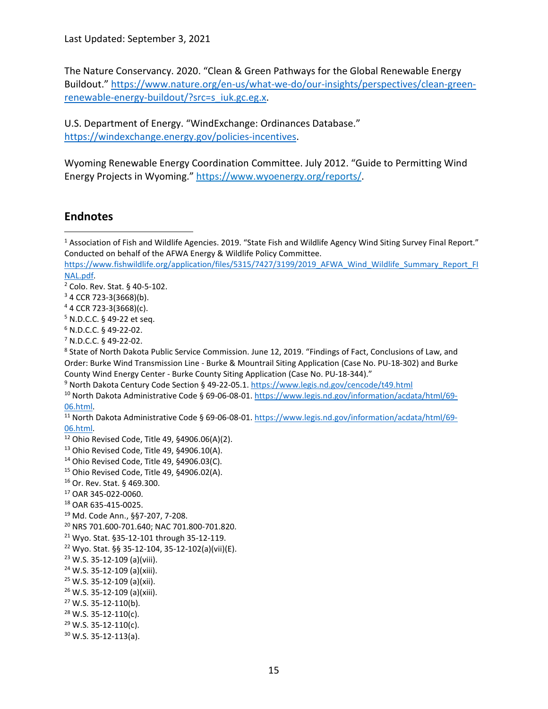Last Updated: September 3, 2021

The Nature Conservancy. 2020. "Clean & Green Pathways for the Global Renewable Energy Buildout." [https://www.nature.org/en-us/what-we-do/our-insights/perspectives/clean-green](https://www.nature.org/en-us/what-we-do/our-insights/perspectives/clean-green-renewable-energy-buildout/?src=s_iuk.gc.eg.x)[renewable-energy-buildout/?src=s\\_iuk.gc.eg.x.](https://www.nature.org/en-us/what-we-do/our-insights/perspectives/clean-green-renewable-energy-buildout/?src=s_iuk.gc.eg.x)

U.S. Department of Energy. "WindExchange: Ordinances Database." [https://windexchange.energy.gov/policies-incentives.](https://windexchange.energy.gov/policies-incentives)

Wyoming Renewable Energy Coordination Committee. July 2012. "Guide to Permitting Wind Energy Projects in Wyoming." [https://www.wyoenergy.org/reports/.](https://www.wyoenergy.org/reports/)

## <span id="page-14-1"></span>**Endnotes**

- <span id="page-14-14"></span>Ohio Revised Code, Title 49, §4906.03(C).
- <span id="page-14-15"></span>Ohio Revised Code, Title 49, §4906.02(A).
- <span id="page-14-16"></span>Or. Rev. Stat. § 469.300.
- <span id="page-14-17"></span>OAR 345-022-0060.
- <span id="page-14-18"></span>OAR 635-415-0025.
- <span id="page-14-19"></span>Md. Code Ann., §§7-207, 7-208.
- <span id="page-14-20"></span>NRS 701.600-701.640; NAC 701.800-701.820.
- <span id="page-14-21"></span>Wyo. Stat. §35-12-101 through 35-12-119.
- <span id="page-14-22"></span>Wyo. Stat. §§ 35-12-104, 35-12-102(a)(vii)(E).
- <span id="page-14-23"></span>W.S. 35-12-109 (a)(viii).
- <span id="page-14-24"></span>W.S. 35-12-109 (a)(xiii).
- <span id="page-14-25"></span>W.S. 35-12-109 (a)(xii).
- <span id="page-14-26"></span>W.S. 35-12-109 (a)(xiii).
- <span id="page-14-27"></span>W.S. 35-12-110(b).
- <span id="page-14-28"></span>W.S. 35-12-110(c).
- <span id="page-14-29"></span>W.S. 35-12-110(c).
- <span id="page-14-30"></span>W.S. 35-12-113(a).

<span id="page-14-0"></span><sup>&</sup>lt;sup>1</sup> Association of Fish and Wildlife Agencies. 2019. "State Fish and Wildlife Agency Wind Siting Survey Final Report." Conducted on behalf of the AFWA Energy & Wildlife Policy Committee.

[https://www.fishwildlife.org/application/files/5315/7427/3199/2019\\_AFWA\\_Wind\\_Wildlife\\_Summary\\_Report\\_FI](https://www.fishwildlife.org/application/files/5315/7427/3199/2019_AFWA_Wind_Wildlife_Summary_Report_FINAL.pdf) [NAL.pdf.](https://www.fishwildlife.org/application/files/5315/7427/3199/2019_AFWA_Wind_Wildlife_Summary_Report_FINAL.pdf)

<span id="page-14-2"></span>Colo. Rev. Stat. § 40-5-102.

<span id="page-14-3"></span>CCR 723-3(3668)(b).

<span id="page-14-4"></span>4 CCR 723-3(3668)(c).

<span id="page-14-5"></span>N.D.C.C. § 49-22 et seq.

<span id="page-14-6"></span>N.D.C.C. § 49-22-02.

<span id="page-14-7"></span>N.D.C.C. § 49-22-02.

<span id="page-14-8"></span> State of North Dakota Public Service Commission. June 12, 2019. "Findings of Fact, Conclusions of Law, and Order: Burke Wind Transmission Line - Burke & Mountrail Siting Application (Case No. PU-18-302) and Burke County Wind Energy Center - Burke County Siting Application (Case No. PU-18-344)."

<span id="page-14-9"></span>North Dakota Century Code Section § 49-22-05.1[. https://www.legis.nd.gov/cencode/t49.html](https://www.legis.nd.gov/cencode/t49.html)

<span id="page-14-10"></span><sup>&</sup>lt;sup>10</sup> North Dakota Administrative Code § 69-06-08-01. [https://www.legis.nd.gov/information/acdata/html/69-](https://www.legis.nd.gov/information/acdata/html/69-06.html) [06.html.](https://www.legis.nd.gov/information/acdata/html/69-06.html)

<span id="page-14-11"></span> North Dakota Administrative Code § 69-06-08-01. [https://www.legis.nd.gov/information/acdata/html/69-](https://www.legis.nd.gov/information/acdata/html/69-06.html) [06.html.](https://www.legis.nd.gov/information/acdata/html/69-06.html)

<span id="page-14-12"></span>Ohio Revised Code, Title 49, §4906.06(A)(2).

<span id="page-14-13"></span>Ohio Revised Code, Title 49, §4906.10(A).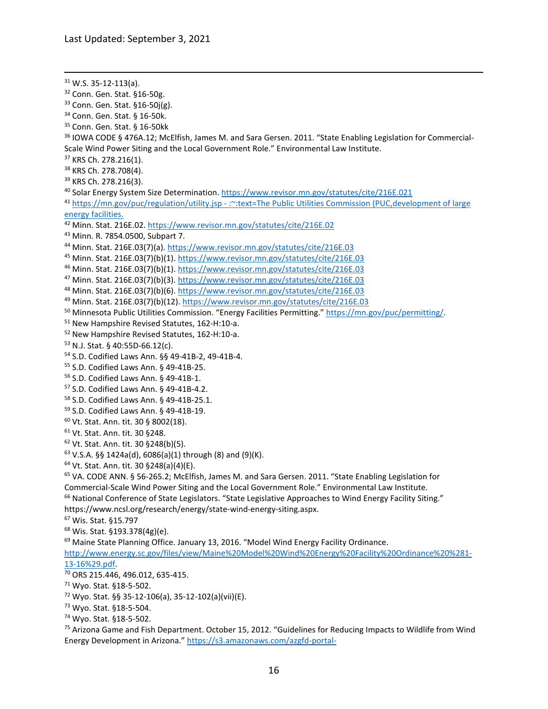<span id="page-15-44"></span><span id="page-15-43"></span><span id="page-15-42"></span><span id="page-15-41"></span><span id="page-15-40"></span><span id="page-15-39"></span><span id="page-15-38"></span><span id="page-15-37"></span><span id="page-15-36"></span><span id="page-15-35"></span><span id="page-15-34"></span><span id="page-15-33"></span><span id="page-15-32"></span><span id="page-15-31"></span><span id="page-15-30"></span><span id="page-15-29"></span><span id="page-15-28"></span><span id="page-15-27"></span><span id="page-15-26"></span><span id="page-15-25"></span><span id="page-15-24"></span><span id="page-15-23"></span><span id="page-15-22"></span><span id="page-15-21"></span><span id="page-15-20"></span><span id="page-15-19"></span><span id="page-15-18"></span><span id="page-15-17"></span><span id="page-15-16"></span><span id="page-15-15"></span><span id="page-15-14"></span><span id="page-15-13"></span><span id="page-15-12"></span><span id="page-15-11"></span><span id="page-15-10"></span><span id="page-15-9"></span><span id="page-15-8"></span><span id="page-15-7"></span><span id="page-15-6"></span><span id="page-15-5"></span><span id="page-15-4"></span><span id="page-15-3"></span><span id="page-15-2"></span><span id="page-15-1"></span><span id="page-15-0"></span> W.S. 35-12-113(a). Conn. Gen. Stat. §16-50g. <sup>33</sup> Conn. Gen. Stat. §16-50j(g).<br><sup>34</sup> Conn. Gen. Stat. § 16-50k. Conn. Gen. Stat. § 16-50kk IOWA CODE § 476A.12; McElfish, James M. and Sara Gersen. 2011. "State Enabling Legislation for Commercial-Scale Wind Power Siting and the Local Government Role." Environmental Law Institute. KRS Ch. 278.216(1). KRS Ch. 278.708(4). KRS Ch. 278.216(3). 40 Solar Energy System Size Determination[. https://www.revisor.mn.gov/statutes/cite/216E.021](https://www.revisor.mn.gov/statutes/cite/216E.021) [https://mn.gov/puc/regulation/utility.jsp -](https://mn.gov/puc/regulation/utility.jsp#:%7E:text=The%20Public%20Utilities%20Commission%20(PUC,development%20of%20large%20energy%20facilities.) :~:text=The Public Utilities Commission (PUC,development of large [energy facilities.](https://mn.gov/puc/regulation/utility.jsp#:%7E:text=The%20Public%20Utilities%20Commission%20(PUC,development%20of%20large%20energy%20facilities.) Minn. Stat. 216E.02.<https://www.revisor.mn.gov/statutes/cite/216E.02> Minn. R. 7854.0500, Subpart 7. Minn. Stat. 216E.03(7)(a).<https://www.revisor.mn.gov/statutes/cite/216E.03> Minn. Stat. 216E.03(7)(b)(1).<https://www.revisor.mn.gov/statutes/cite/216E.03> Minn. Stat. 216E.03(7)(b)(1).<https://www.revisor.mn.gov/statutes/cite/216E.03> Minn. Stat. 216E.03(7)(b)(3).<https://www.revisor.mn.gov/statutes/cite/216E.03> Minn. Stat. 216E.03(7)(b)(6).<https://www.revisor.mn.gov/statutes/cite/216E.03> Minn. Stat. 216E.03(7)(b)(12).<https://www.revisor.mn.gov/statutes/cite/216E.03> Minnesota Public Utilities Commission. "Energy Facilities Permitting.[" https://mn.gov/puc/permitting/.](https://mn.gov/puc/permitting/) New Hampshire Revised Statutes, 162-H:10-a. New Hampshire Revised Statutes, 162-H:10-a. N.J. Stat. § 40:55D-66.12(c). S.D. Codified Laws Ann. §§ 49-41B-2, 49-41B-4. S.D. Codified Laws Ann. § 49-41B-25. S.D. Codified Laws Ann. § 49-41B-1. S.D. Codified Laws Ann. § 49-41B-4.2. S.D. Codified Laws Ann. § 49-41B-25.1. S.D. Codified Laws Ann. § 49-41B-19. Vt. Stat. Ann. tit. 30 § 8002(18). Vt. Stat. Ann. tit. 30 §248. Vt. Stat. Ann. tit. 30 §248(b)(5). V.S.A. §§ 1424a(d), 6086(a)(1) through (8) and (9)(K). Vt. Stat. Ann. tit. 30 §248(a)(4)(E). VA. CODE ANN. § 56-265.2; McElfish, James M. and Sara Gersen. 2011. "State Enabling Legislation for Commercial-Scale Wind Power Siting and the Local Government Role." Environmental Law Institute. <sup>66</sup> National Conference of State Legislators. "State Legislative Approaches to Wind Energy Facility Siting." [https://www.ncsl.org/research/energy/state-wind-energy-siting.aspx.](https://www.ncsl.org/research/energy/state-wind-energy-siting.aspx) Wis. Stat. §15.797 Wis. Stat. §193.378(4g)(e). <sup>69</sup> Maine State Planning Office. January 13, 2016. "Model Wind Energy Facility Ordinance. [http://www.energy.sc.gov/files/view/Maine%20Model%20Wind%20Energy%20Facility%20Ordinance%20%281-](http://www.energy.sc.gov/files/view/Maine%20Model%20Wind%20Energy%20Facility%20Ordinance%20%281-13-16%29.pdf) [13-16%29.pdf.](http://www.energy.sc.gov/files/view/Maine%20Model%20Wind%20Energy%20Facility%20Ordinance%20%281-13-16%29.pdf)<br><sup>70</sup> ORS 215.446, 496.012, 635-415. Wyo. Stat. §18-5-502. Wyo. Stat. §§ 35-12-106(a), 35-12-102(a)(vii)(E). Wyo. Stat. §18-5-504. Wyo. Stat. §18-5-502. <sup>75</sup> Arizona Game and Fish Department. October 15, 2012. "Guidelines for Reducing Impacts to Wildlife from Wind Energy Development in Arizona." [https://s3.amazonaws.com/azgfd-portal-](https://s3.amazonaws.com/azgfd-portal-wordpress/PortalImages/files/wildlife/planningFor/wildlifeFriendlyGuidelines/RevisedAZWindGuidelinesOctober2012.pdf)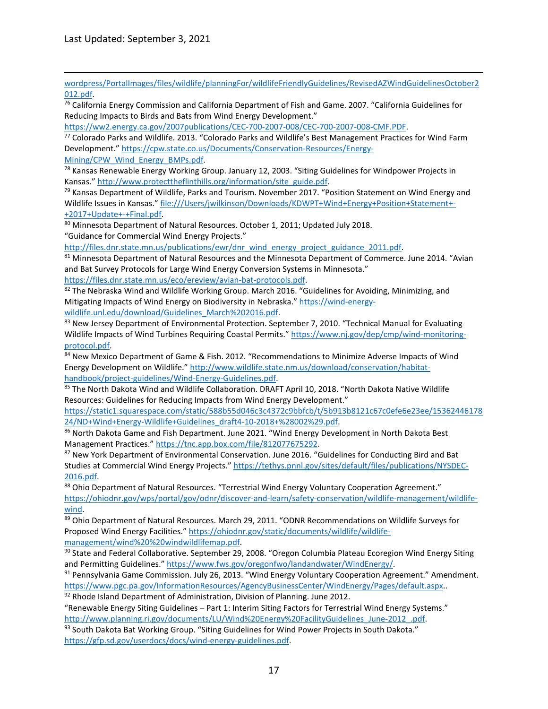[wordpress/PortalImages/files/wildlife/planningFor/wildlifeFriendlyGuidelines/RevisedAZWindGuidelinesOctober2](https://s3.amazonaws.com/azgfd-portal-wordpress/PortalImages/files/wildlife/planningFor/wildlifeFriendlyGuidelines/RevisedAZWindGuidelinesOctober2012.pdf) [012.pdf.](https://s3.amazonaws.com/azgfd-portal-wordpress/PortalImages/files/wildlife/planningFor/wildlifeFriendlyGuidelines/RevisedAZWindGuidelinesOctober2012.pdf)

<span id="page-16-0"></span><sup>76</sup> California Energy Commission and California Department of Fish and Game. 2007. "California Guidelines for Reducing Impacts to Birds and Bats from Wind Energy Development."

[https://ww2.energy.ca.gov/2007publications/CEC-700-2007-008/CEC-700-2007-008-CMF.PDF.](https://ww2.energy.ca.gov/2007publications/CEC-700-2007-008/CEC-700-2007-008-CMF.PDF)

<span id="page-16-1"></span><sup>77</sup> Colorado Parks and Wildlife. 2013. "Colorado Parks and Wildlife's Best Management Practices for Wind Farm Development." [https://cpw.state.co.us/Documents/Conservation-Resources/Energy-](https://cpw.state.co.us/Documents/Conservation-Resources/Energy-Mining/CPW_Wind_Energy_BMPs.pdf)

<span id="page-16-2"></span>[Mining/CPW\\_Wind\\_Energy\\_BMPs.pdf.](https://cpw.state.co.us/Documents/Conservation-Resources/Energy-Mining/CPW_Wind_Energy_BMPs.pdf)<br><sup>78</sup> Kansas Renewable Energy Working Group. January 12, 2003. "Siting Guidelines for Windpower Projects in Kansas." [http://www.protecttheflinthills.org/information/site\\_guide.pdf.](http://www.protecttheflinthills.org/information/site_guide.pdf)

<span id="page-16-3"></span><sup>79</sup> Kansas Department of Wildlife, Parks and Tourism. November 2017. "Position Statement on Wind Energy and Wildlife Issues in Kansas." file:///Users/jwilkinson/Downloads/KDWPT+Wind+Energy+Position+Statement+- +2017+Update+-+Final.pdf.

<span id="page-16-4"></span><sup>80</sup> Minnesota Department of Natural Resources. October 1, 2011; Updated July 2018. "Guidance for Commercial Wind Energy Projects."

[http://files.dnr.state.mn.us/publications/ewr/dnr\\_wind\\_energy\\_project\\_guidance\\_2011.pdf.](http://files.dnr.state.mn.us/publications/ewr/dnr_wind_energy_project_guidance_2011.pdf)

<span id="page-16-5"></span>81 Minnesota Department of Natural Resources and the Minnesota Department of Commerce. June 2014. "Avian and Bat Survey Protocols for Large Wind Energy Conversion Systems in Minnesota." [https://files.dnr.state.mn.us/eco/ereview/avian-bat-protocols.pdf.](https://files.dnr.state.mn.us/eco/ereview/avian-bat-protocols.pdf)

<span id="page-16-6"></span>82 The Nebraska Wind and Wildlife Working Group. March 2016. "Guidelines for Avoiding, Minimizing, and

Mitigating Impacts of Wind Energy on Biodiversity in Nebraska.[" https://wind-energy](https://wind-energy-wildlife.unl.edu/download/Guidelines_March%202016.pdf)[wildlife.unl.edu/download/Guidelines\\_March%202016.pdf.](https://wind-energy-wildlife.unl.edu/download/Guidelines_March%202016.pdf)

<span id="page-16-7"></span>83 New Jersey Department of Environmental Protection. September 7, 2010. "Technical Manual for Evaluating Wildlife Impacts of Wind Turbines Requiring Coastal Permits.[" https://www.nj.gov/dep/cmp/wind-monitoring](https://www.nj.gov/dep/cmp/wind-monitoring-protocol.pdf)[protocol.pdf.](https://www.nj.gov/dep/cmp/wind-monitoring-protocol.pdf)

<span id="page-16-8"></span>84 New Mexico Department of Game & Fish. 2012. "Recommendations to Minimize Adverse Impacts of Wind Energy Development on Wildlife.[" http://www.wildlife.state.nm.us/download/conservation/habitat](http://www.wildlife.state.nm.us/download/conservation/habitat-handbook/project-guidelines/Wind-Energy-Guidelines.pdf)[handbook/project-guidelines/Wind-Energy-Guidelines.pdf.](http://www.wildlife.state.nm.us/download/conservation/habitat-handbook/project-guidelines/Wind-Energy-Guidelines.pdf)

<span id="page-16-9"></span>85 The North Dakota Wind and Wildlife Collaboration. DRAFT April 10, 2018. "North Dakota Native Wildlife Resources: Guidelines for Reducing Impacts from Wind Energy Development."

[https://static1.squarespace.com/static/588b55d046c3c4372c9bbfcb/t/5b913b8121c67c0efe6e23ee/15362446178](https://static1.squarespace.com/static/588b55d046c3c4372c9bbfcb/t/5b913b8121c67c0efe6e23ee/1536244617824/ND+Wind+Energy-Wildlife+Guidelines_draft4-10-2018+%28002%29.pdf) [24/ND+Wind+Energy-Wildlife+Guidelines\\_draft4-10-2018+%28002%29.pdf.](https://static1.squarespace.com/static/588b55d046c3c4372c9bbfcb/t/5b913b8121c67c0efe6e23ee/1536244617824/ND+Wind+Energy-Wildlife+Guidelines_draft4-10-2018+%28002%29.pdf)

<span id="page-16-10"></span>86 North Dakota Game and Fish Department. June 2021. "Wind Energy Development in North Dakota Best Management Practices." [https://tnc.app.box.com/file/812077675292.](https://tnc.app.box.com/file/812077675292)

<span id="page-16-11"></span>87 New York Department of Environmental Conservation. June 2016. "Guidelines for Conducting Bird and Bat Studies at Commercial Wind Energy Projects." [https://tethys.pnnl.gov/sites/default/files/publications/NYSDEC-](https://tethys.pnnl.gov/sites/default/files/publications/NYSDEC-2016.pdf)[2016.pdf.](https://tethys.pnnl.gov/sites/default/files/publications/NYSDEC-2016.pdf)

<span id="page-16-12"></span>88 Ohio Department of Natural Resources. "Terrestrial Wind Energy Voluntary Cooperation Agreement." [https://ohiodnr.gov/wps/portal/gov/odnr/discover-and-learn/safety-conservation/wildlife-management/wildlife](https://ohiodnr.gov/wps/portal/gov/odnr/discover-and-learn/safety-conservation/wildlife-management/wildlife-wind)[wind.](https://ohiodnr.gov/wps/portal/gov/odnr/discover-and-learn/safety-conservation/wildlife-management/wildlife-wind)

<span id="page-16-13"></span>89 Ohio Department of Natural Resources. March 29, 2011. "ODNR Recommendations on Wildlife Surveys for Proposed Wind Energy Facilities." [https://ohiodnr.gov/static/documents/wildlife/wildlife-](https://ohiodnr.gov/static/documents/wildlife/wildlife-management/wind%20%20windwildlifemap.pdf)

<span id="page-16-14"></span>[management/wind%20%20windwildlifemap.pdf.](https://ohiodnr.gov/static/documents/wildlife/wildlife-management/wind%20%20windwildlifemap.pdf)<br><sup>90</sup> State and Federal Collaborative. September 29, 2008. "Oregon Columbia Plateau Ecoregion Wind Energy Siting and Permitting Guidelines.[" https://www.fws.gov/oregonfwo/landandwater/WindEnergy/.](https://www.fws.gov/oregonfwo/landandwater/WindEnergy/)

<span id="page-16-15"></span>91 Pennsylvania Game Commission. July 26, 2013. "Wind Energy Voluntary Cooperation Agreement." Amendment. [https://www.pgc.pa.gov/InformationResources/AgencyBusinessCenter/WindEnergy/Pages/default.aspx.](https://www.pgc.pa.gov/InformationResources/AgencyBusinessCenter/WindEnergy/Pages/default.aspx).

<span id="page-16-16"></span> $92$  Rhode Island Department of Administration, Division of Planning. June 2012.

"Renewable Energy Siting Guidelines – Part 1: Interim Siting Factors for Terrestrial Wind Energy Systems." [http://www.planning.ri.gov/documents/LU/Wind%20Energy%20FacilityGuidelines\\_June-2012\\_.pdf.](http://www.planning.ri.gov/documents/LU/Wind%20Energy%20FacilityGuidelines_June-2012_.pdf)

<span id="page-16-17"></span>93 South Dakota Bat Working Group. "Siting Guidelines for Wind Power Projects in South Dakota." [https://gfp.sd.gov/userdocs/docs/wind-energy-guidelines.pdf.](https://gfp.sd.gov/userdocs/docs/wind-energy-guidelines.pdf)